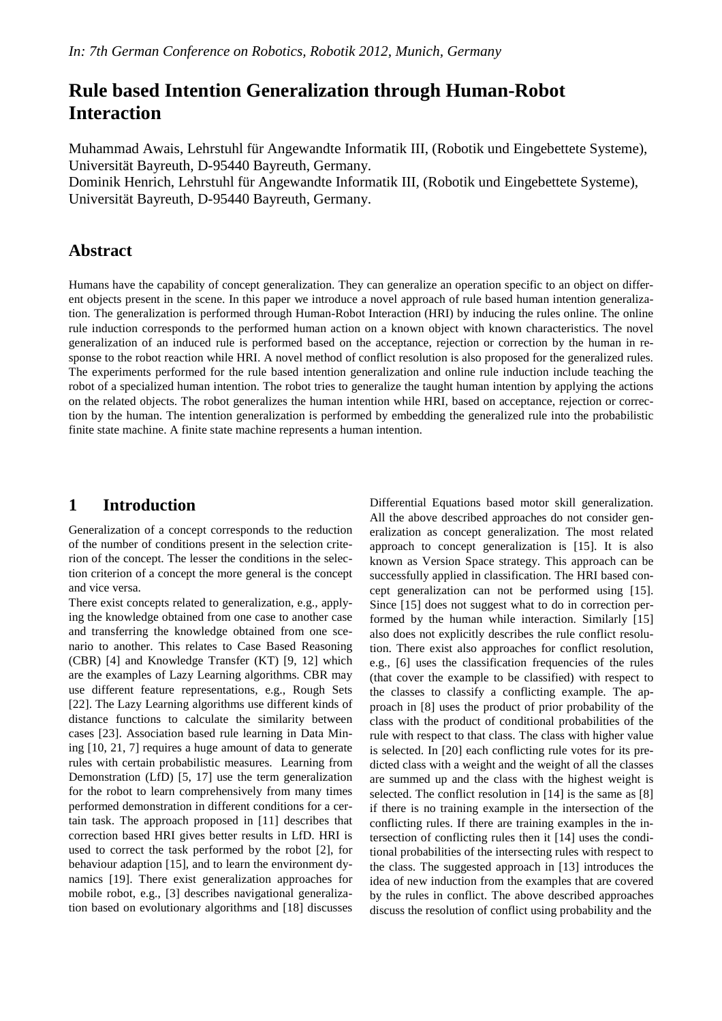# **Rule based Intention Generalization through Human-Robot Interaction**

Muhammad Awais, Lehrstuhl für Angewandte Informatik III, (Robotik und Eingebettete Systeme), Universität Bayreuth, D-95440 Bayreuth, Germany.

Dominik Henrich, Lehrstuhl für Angewandte Informatik III, (Robotik und Eingebettete Systeme), Universität Bayreuth, D-95440 Bayreuth, Germany.

## **Abstract**

Humans have the capability of concept generalization. They can generalize an operation specific to an object on different objects present in the scene. In this paper we introduce a novel approach of rule based human intention generalization. The generalization is performed through Human-Robot Interaction (HRI) by inducing the rules online. The online rule induction corresponds to the performed human action on a known object with known characteristics. The novel generalization of an induced rule is performed based on the acceptance, rejection or correction by the human in response to the robot reaction while HRI. A novel method of conflict resolution is also proposed for the generalized rules. The experiments performed for the rule based intention generalization and online rule induction include teaching the robot of a specialized human intention. The robot tries to generalize the taught human intention by applying the actions on the related objects. The robot generalizes the human intention while HRI, based on acceptance, rejection or correction by the human. The intention generalization is performed by embedding the generalized rule into the probabilistic finite state machine. A finite state machine represents a human intention.

## **1 Introduction**

Generalization of a concept corresponds to the reduction of the number of conditions present in the selection criterion of the concept. The lesser the conditions in the selection criterion of a concept the more general is the concept and vice versa.

There exist concepts related to generalization, e.g., applying the knowledge obtained from one case to another case and transferring the knowledge obtained from one scenario to another. This relates to Case Based Reasoning (CBR) [4] and Knowledge Transfer (KT) [9, 12] which are the examples of Lazy Learning algorithms. CBR may use different feature representations, e.g., Rough Sets [22]. The Lazy Learning algorithms use different kinds of distance functions to calculate the similarity between cases [23]. Association based rule learning in Data Mining [10, 21, 7] requires a huge amount of data to generate rules with certain probabilistic measures. Learning from Demonstration (LfD) [5, 17] use the term generalization for the robot to learn comprehensively from many times performed demonstration in different conditions for a certain task. The approach proposed in [11] describes that correction based HRI gives better results in LfD. HRI is used to correct the task performed by the robot [2], for behaviour adaption [15], and to learn the environment dynamics [19]. There exist generalization approaches for mobile robot, e.g., [3] describes navigational generalization based on evolutionary algorithms and [18] discusses

Differential Equations based motor skill generalization. All the above described approaches do not consider generalization as concept generalization. The most related approach to concept generalization is [15]. It is also known as Version Space strategy. This approach can be successfully applied in classification. The HRI based concept generalization can not be performed using [15]. Since [15] does not suggest what to do in correction performed by the human while interaction. Similarly [15] also does not explicitly describes the rule conflict resolution. There exist also approaches for conflict resolution, e.g., [6] uses the classification frequencies of the rules (that cover the example to be classified) with respect to the classes to classify a conflicting example. The approach in [8] uses the product of prior probability of the class with the product of conditional probabilities of the rule with respect to that class. The class with higher value is selected. In [20] each conflicting rule votes for its predicted class with a weight and the weight of all the classes are summed up and the class with the highest weight is selected. The conflict resolution in [14] is the same as [8] if there is no training example in the intersection of the conflicting rules. If there are training examples in the intersection of conflicting rules then it [14] uses the conditional probabilities of the intersecting rules with respect to the class. The suggested approach in [13] introduces the idea of new induction from the examples that are covered by the rules in conflict. The above described approaches discuss the resolution of conflict using probability and the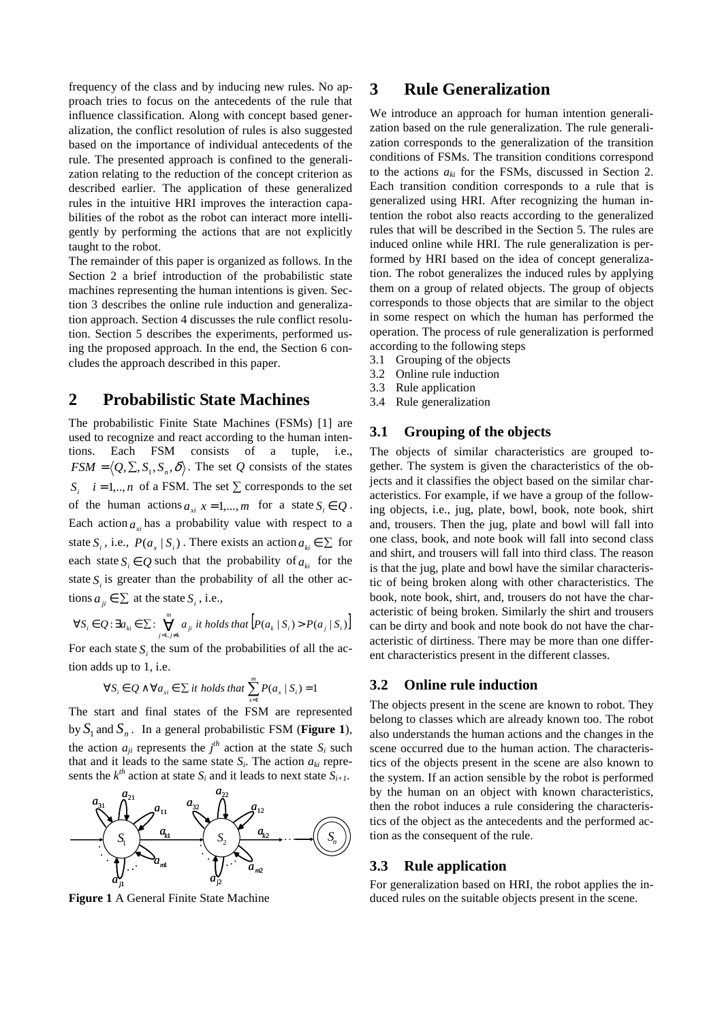frequency of the class and by inducing new rules. No approach tries to focus on the antecedents of the rule that influence classification. Along with concept based generalization, the conflict resolution of rules is also suggested based on the importance of individual antecedents of the rule. The presented approach is confined to the generalization relating to the reduction of the concept criterion as described earlier. The application of these generalized rules in the intuitive HRI improves the interaction capabilities of the robot as the robot can interact more intelligently by performing the actions that are not explicitly taught to the robot.

The remainder of this paper is organized as follows. In the Section 2 a brief introduction of the probabilistic state machines representing the human intentions is given. Section 3 describes the online rule induction and generalization approach. Section 4 discusses the rule conflict resolution. Section 5 describes the experiments, performed using the proposed approach. In the end, the Section 6 concludes the approach described in this paper.

## **2 Probabilistic State Machines**

The probabilistic Finite State Machines (FSMs) [1] are used to recognize and react according to the human intentions. Each FSM consists of a tuple, i.e.,  $FSM = \langle Q, \Sigma, S_1, S_n, \delta \rangle$ . The set *Q* consists of the states *S i* = 1,.., *n* of a FSM. The set  $\sum$  corresponds to the set of the human actions  $a_{x_i}$   $x = 1,...,m$  for a state  $S_i \in Q$ . Each action  $a_{\mu}$  has a probability value with respect to a state  $S_i$ , i.e.,  $P(a_x | S_i)$ . There exists an action  $a_{ki} \in \Sigma$  for each state  $S_i \in Q$  such that the probability of  $a_{ki}$  for the state  $S<sub>i</sub>$  is greater than the probability of all the other actions  $a_{ji} \in \sum$  at the state  $S_i$ , i.e.,

$$
\forall S_i \in Q \colon \exists a_{ki} \in \Sigma \colon \bigvee_{j=1, j \neq k}^{m} a_{ji} \text{ it holds that } \Big[ P(a_k \mid S_i) > P(a_j \mid S_i) \Big]
$$

For each state  $S_i$  the sum of the probabilities of all the action adds up to 1, i.e.

$$
\forall S_i \in Q \land \forall a_{xi} \in \sum it \ holds \ that \ \sum_{x=1}^m P(a_x \mid S_i) = 1
$$

The start and final states of the FSM are represented by  $S_1$  and  $S_n$ . In a general probabilistic FSM (**Figure 1**), the action  $a_{ji}$  represents the  $j<sup>th</sup>$  action at the state  $S_i$  such that and it leads to the same state  $S_i$ . The action  $a_{ki}$  represents the  $k^{th}$  action at state  $S_i$  and it leads to next state  $S_{i+1}$ .



**Figure 1** A General Finite State Machine

## **3 Rule Generalization**

We introduce an approach for human intention generalization based on the rule generalization. The rule generalization corresponds to the generalization of the transition conditions of FSMs. The transition conditions correspond to the actions  $a_{ki}$  for the FSMs, discussed in Section 2. Each transition condition corresponds to a rule that is generalized using HRI. After recognizing the human intention the robot also reacts according to the generalized rules that will be described in the Section 5. The rules are induced online while HRI. The rule generalization is performed by HRI based on the idea of concept generalization. The robot generalizes the induced rules by applying them on a group of related objects. The group of objects corresponds to those objects that are similar to the object in some respect on which the human has performed the operation. The process of rule generalization is performed according to the following steps

- 3.1 Grouping of the objects
- 3.2 Online rule induction
- 3.3 Rule application
- 3.4 Rule generalization

#### **3.1 Grouping of the objects**

The objects of similar characteristics are grouped together. The system is given the characteristics of the objects and it classifies the object based on the similar characteristics. For example, if we have a group of the following objects, i.e., jug, plate, bowl, book, note book, shirt and, trousers. Then the jug, plate and bowl will fall into one class, book, and note book will fall into second class and shirt, and trousers will fall into third class. The reason is that the jug, plate and bowl have the similar characteristic of being broken along with other characteristics. The book, note book, shirt, and, trousers do not have the characteristic of being broken. Similarly the shirt and trousers can be dirty and book and note book do not have the characteristic of dirtiness. There may be more than one different characteristics present in the different classes.

#### **3.2 Online rule induction**

The objects present in the scene are known to robot. They belong to classes which are already known too. The robot also understands the human actions and the changes in the scene occurred due to the human action. The characteristics of the objects present in the scene are also known to the system. If an action sensible by the robot is performed by the human on an object with known characteristics, then the robot induces a rule considering the characteristics of the object as the antecedents and the performed action as the consequent of the rule.

#### **3.3 Rule application**

For generalization based on HRI, the robot applies the induced rules on the suitable objects present in the scene.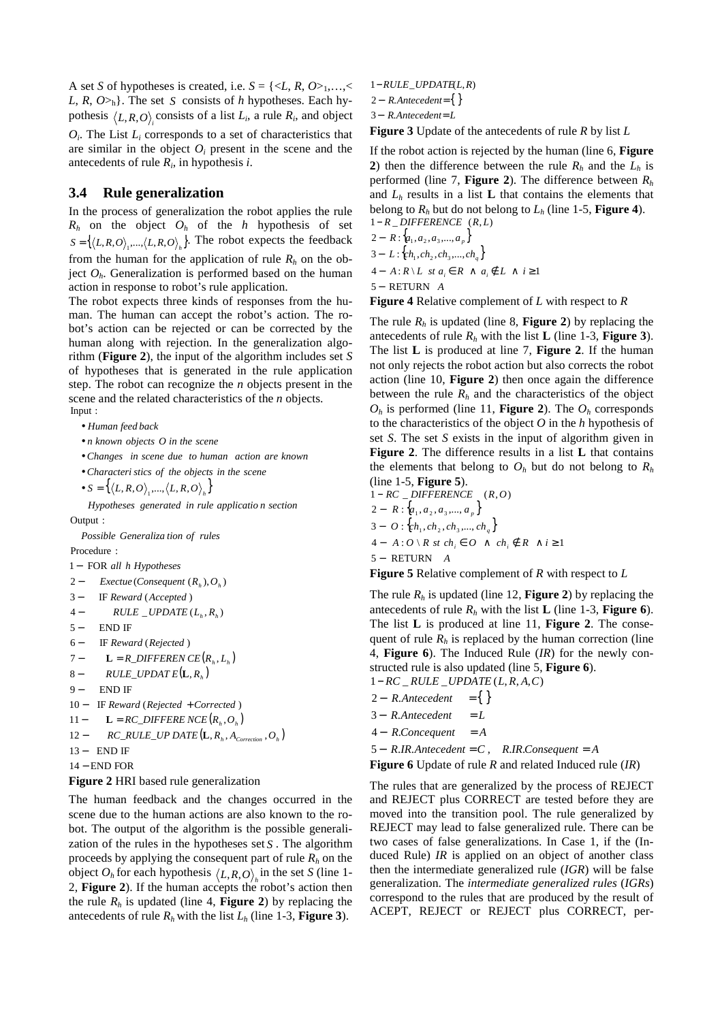A set *S* of hypotheses is created, i.e.  $S = \{ \langle L, R, O \rangle_1, \ldots, \langle L, R \rangle \}$ *L*, *R*,  $O_{h}$ . The set *S* consists of *h* hypotheses. Each hypothesis  $\langle L, R, O \rangle$ <sub>*i*</sub> consists of a list  $L_i$ , a rule  $R_i$ , and object

 $O_i$ . The List  $L_i$  corresponds to a set of characteristics that are similar in the object  $O_i$  present in the scene and the antecedents of rule *R<sup>i</sup>* , in hypothesis *i*.

#### **3.4 Rule generalization**

In the process of generalization the robot applies the rule  $R_h$  on the object  $O_h$  of the *h* hypothesis of set  $S = \left\{ \langle L, R, O \rangle_{1}, \dots, \langle L, R, O \rangle_{h} \right\}$ . The robot expects the feedback from the human for the application of rule  $R_h$  on the object  $O<sub>h</sub>$ . Generalization is performed based on the human action in response to robot's rule application.

The robot expects three kinds of responses from the human. The human can accept the robot's action. The robot's action can be rejected or can be corrected by the human along with rejection. In the generalization algorithm (**Figure 2**), the input of the algorithm includes set *S* of hypotheses that is generated in the rule application step. The robot can recognize the *n* objects present in the scene and the related characteristics of the *n* objects. Input :

• *Human feed back*

- *n known objects O in the scene*
- *Changes in scene due to human action are known*
- *Characteri stics of the objects in the scene*

• 
$$
S = \left\{ \langle L, R, O \rangle_{1}, \dots, \langle L, R, O \rangle_{h} \right\}
$$

*Hypotheses generated in rule applicatio n section*

Output :

Procedure : *Possible Generaliza tion of rules*

- 1 FOR − *all h Hypotheses*
- 2 *Exectue* (*Consequent*  $(R_h)$ ,  $O_h$ )  $2-$
- 3- IF Reward (Accepted)  $3-$
- $4 RULE \_ UPDATE (L_h, R_h)$  $4-$
- 5 END IF  $5-$
- 6 IF Reward (Rejected)  $6-$
- $7 \mathbf{L} = R\_DIFFEREN \, CE(R_h, L_h)$
- 8- $RULE\_UPDATE(L, R<sub>h</sub>)$  $8-$
- 9 END IF  $\mathbf{Q} =$
- 10 − IF Reward (Rejected + Corrected)
- $11 \qquad L = RC\_DIFFERE NCE(R_h, O_h)$
- 12  $RC\_RULE\_UP\,DATE(L, R_h, A_{\text{correction}}, O_h)$  $12-$
- 13 END IF
- 14 END FOR

#### **Figure 2** HRI based rule generalization

The human feedback and the changes occurred in the scene due to the human actions are also known to the robot. The output of the algorithm is the possible generalization of the rules in the hypotheses set *S* . The algorithm proceeds by applying the consequent part of rule *Rh* on the object  $O_h$  for each hypothesis  $\langle L, R, O \rangle_h$  in the set *S* (line 1-2, **Figure 2**). If the human accepts the robot's action then the rule  $R_h$  is updated (line 4, **Figure 2**) by replacing the antecedents of rule  $R_h$  with the list  $L_h$  (line 1-3, **Figure 3**).

1-RULE\_UPDATE(L,R)

2 – R.Antecedent={}

3 - R.Antecedent = L

**Figure 3** Update of the antecedents of rule *R* by list *L*

If the robot action is rejected by the human (line 6, **Figure 2**) then the difference between the rule  $R_h$  and the  $L_h$  is performed (line 7, **Figure 2**). The difference between *R<sup>h</sup>* and  $L_h$  results in a list  $L$  that contains the elements that belong to  $R_h$  but do not belong to  $L_h$  (line 1-5, **Figure 4**).  $R$  *DIFFERENCE*  $(R, L)$ 

 $2 - R : \{a_1, a_2, a_3, ..., a_p\}$  $3 - L: \{ch_1, ch_2, ch_3, ..., ch_q\}$ *A*  $: R \setminus L$  *st*  $a_i \in R \land a_i \notin L \land i \ge 1$ 

5 – RETURN *A* 

**Figure 4** Relative complement of *L* with respect to *R* 

The rule  $R_h$  is updated (line 8, **Figure 2**) by replacing the antecedents of rule  $R_h$  with the list **L** (line 1-3, **Figure 3**). The list **L** is produced at line 7, **Figure 2**. If the human not only rejects the robot action but also corrects the robot action (line 10, **Figure 2**) then once again the difference between the rule  $R_h$  and the characteristics of the object  $O_h$  is performed (line 11, **Figure 2**). The  $O_h$  corresponds to the characteristics of the object *O* in the *h* hypothesis of set *S*. The set *S* exists in the input of algorithm given in **Figure 2**. The difference results in a list **L** that contains the elements that belong to  $O_h$  but do not belong to  $R_h$ (line 1-5, **Figure 5**).

 $2 - R : \{a_1, a_2, a_3, ..., a_p\}$  $3 - O: \{ch_1, ch_2, ch_3, ..., ch_q\}$ 5 – RETURN *A A*  $\cdot$  *O*  $\setminus$  *R st ch*<sub>*i*</sub></sub>  $\in$  *O*  $\land$  *ch*<sub>*i*</sub>  $\notin$  *R*  $\land$  *i* ≥ 1  $R = DIFFERENCE (R, O)$ 

**Figure 5** Relative complement of *R* with respect to *L* 

The rule  $R_h$  is updated (line 12, **Figure 2**) by replacing the antecedents of rule *Rh* with the list **L** (line 1-3, **Figure 6**). The list **L** is produced at line 11, **Figure 2**. The consequent of rule  $R_h$  is replaced by the human correction (line 4, **Figure 6**). The Induced Rule (*IR*) for the newly constructed rule is also updated (line 5, **Figure 6**).

1 − RC \_ RULE \_UPDATE (L, R, A, C)

- $=\{ \}$ 2 − R.Antecedent =
- $3 R$ . *Antecedent*  $= L$
- $4 R$ Concequent = A
- $5 R \cdot IR$ . Antecedent = C,  $R \cdot IR$ . Consequent = A

```
Figure 6 Update of rule R and related Induced rule (IR)
```
The rules that are generalized by the process of REJECT and REJECT plus CORRECT are tested before they are moved into the transition pool. The rule generalized by REJECT may lead to false generalized rule. There can be two cases of false generalizations. In Case 1, if the (Induced Rule) *IR* is applied on an object of another class then the intermediate generalized rule (*IGR*) will be false generalization. The *intermediate generalized rules* (*IGRs*) correspond to the rules that are produced by the result of ACEPT, REJECT or REJECT plus CORRECT, per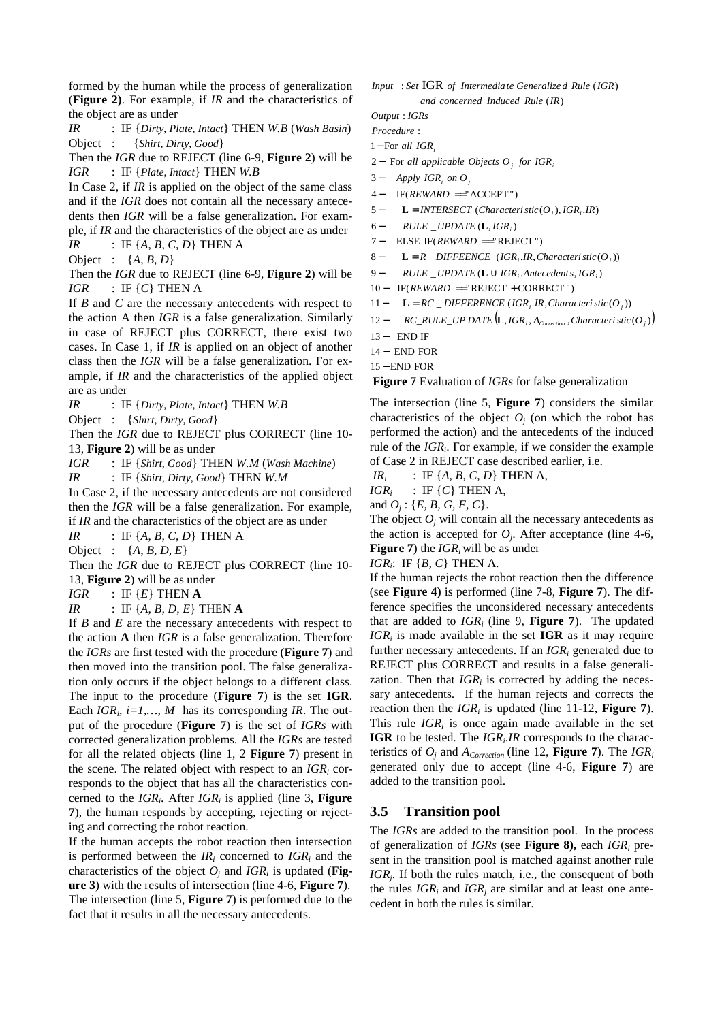formed by the human while the process of generalization (**Figure 2)**. For example, if *IR* and the characteristics of the object are as under

*IR* : IF {*Dirty*, *Plate*, *Intact*} THEN *W.B* (*Wash Basin*) Object : {*Shirt*, *Dirty*, *Good*}

Then the *IGR* due to REJECT (line 6-9, **Figure 2**) will be *IGR* : IF {*Plate*, *Intact*} THEN *W.B*

In Case 2, if *IR* is applied on the object of the same class and if the *IGR* does not contain all the necessary antecedents then *IGR* will be a false generalization. For example, if *IR* and the characteristics of the object are as under

*IR* : IF  $\{A, B, C, D\}$  THEN A

Object : {*A*, *B*, *D*}

Then the *IGR* due to REJECT (line 6-9, **Figure 2**) will be  $IGR$  : IF  $\{C\}$  THEN A

If *B* and *C* are the necessary antecedents with respect to the action A then *IGR* is a false generalization. Similarly in case of REJECT plus CORRECT, there exist two cases. In Case 1, if *IR* is applied on an object of another class then the *IGR* will be a false generalization. For example, if *IR* and the characteristics of the applied object are as under

*IR* : IF {*Dirty*, *Plate*, *Intact*} THEN *W.B*

Object : {*Shirt*, *Dirty*, *Good*}

Then the *IGR* due to REJECT plus CORRECT (line 10- 13, **Figure 2**) will be as under

*IGR* : IF {*Shirt*, *Good*} THEN *W.M* (*Wash Machine*)

*IR* : IF {*Shirt*, *Dirty*, *Good*} THEN *W.M* 

In Case 2, if the necessary antecedents are not considered then the *IGR* will be a false generalization. For example, if *IR* and the characteristics of the object are as under

*IR* : IF {*A*, *B*, *C*, *D*} THEN A

Object : {*A*, *B, D, E*}

Then the *IGR* due to REJECT plus CORRECT (line 10- 13, **Figure 2**) will be as under

*IGR* : IF  $\{E\}$  THEN **A** 

*IR* : IF {*A, B, D, E*} THEN **A**

If *B* and *E* are the necessary antecedents with respect to the action **A** then *IGR* is a false generalization. Therefore the *IGRs* are first tested with the procedure (**Figure 7**) and then moved into the transition pool. The false generalization only occurs if the object belongs to a different class. The input to the procedure (**Figure 7**) is the set **IGR**. Each  $IGR_i$ ,  $i=1,..., M$  has its corresponding *IR*. The output of the procedure (**Figure 7**) is the set of *IGRs* with corrected generalization problems. All the *IGRs* are tested for all the related objects (line 1, 2 **Figure 7**) present in the scene. The related object with respect to an *IGR<sup>i</sup>* corresponds to the object that has all the characteristics concerned to the *IGR<sup>i</sup>* . After *IGR<sup>i</sup>* is applied (line 3, **Figure 7**), the human responds by accepting, rejecting or rejecting and correcting the robot reaction.

If the human accepts the robot reaction then intersection is performed between the  $IR_i$  concerned to  $IGR_i$  and the characteristics of the object  $O_j$  and  $IGR_i$  is updated (Fig**ure 3**) with the results of intersection (line 4-6, **Figure 7**). The intersection (line 5, **Figure 7**) is performed due to the fact that it results in all the necessary antecedents.

)( *and concerned Induced Rule IR* : IGR ( ) *Input Set of Intermedia te Generalize d Rule IGR*

: *Output IGRs*

: *Procedure*

1−For all *IGR*<sub>i</sub>

- 2 For − *j i all applicable Objects O for IGR*
- 3 − *i j Apply IGR on O*
- 4 IF(*REWARD* =="ACCEPT")
- 5  $\bf{L} = INTERSECTION (Characteri site(O_j), IGR_i, IR)$
- $6 RULE \_ UPDATE \left( L, IGR \right)$  $6-$
- 7 ELSE IF(*REWARD* = "REJECT")
- 8  $L = R$  *DIFFEENCE* (*IGR*<sub>*i*</sub></sub>*.IR*, *Characteristic*  $(O_j)$ )
- $9 RULE \_ UPDATE$   $(L \cup IGR_i$ . Antecedent  $s, IGR_i$
- $10 IF(REWARD == "REIECT + CORRECT")$
- 11  $L = RC\_DIFFERENCE (IGR_i, IR, Characteristic (O_i))$
- 12  $RC\_RULE\_UP\ DATE(L, IGR_i, A_{\text{Correction}}, Characteristic(O_i))$  $12-$
- 13 END IF
- 14 END FOR
- 15 END FOR

 **Figure 7** Evaluation of *IGRs* for false generalization

The intersection (line 5, **Figure 7**) considers the similar characteristics of the object  $O_j$  (on which the robot has performed the action) and the antecedents of the induced rule of the *IGR<sup>i</sup>* . For example, if we consider the example of Case 2 in REJECT case described earlier, i.e.

 $IR_i$  : IF  $\{A, B, C, D\}$  THEN A,

 $IGR_i$  : IF  $\{C\}$  THEN A,

and  $O_j$ : {*E, B, G, F, C*}.

The object  $O_j$  will contain all the necessary antecedents as the action is accepted for  $O_j$ . After acceptance (line 4-6, **Figure 7**) the *IGRi* will be as under

*IGR<sup>i</sup>* : IF {*B, C*} THEN A.

If the human rejects the robot reaction then the difference (see **Figure 4)** is performed (line 7-8, **Figure 7**). The difference specifies the unconsidered necessary antecedents that are added to  $IGR_i$  (line 9, **Figure 7**). The updated *IGR<sup>i</sup>* is made available in the set **IGR** as it may require further necessary antecedents. If an *IGR<sup>i</sup>* generated due to REJECT plus CORRECT and results in a false generalization. Then that  $IGR_i$  is corrected by adding the necessary antecedents. If the human rejects and corrects the reaction then the  $IGR_i$  is updated (line 11-12, **Figure 7**). This rule  $IGR_i$  is once again made available in the set **IGR** to be tested. The *IGR<sup>i</sup>* .*IR* corresponds to the characteristics of *O<sup>j</sup>* and *ACorrection* (line 12, **Figure 7**). The *IGR<sup>i</sup>* generated only due to accept (line 4-6, **Figure 7**) are added to the transition pool.

#### **3.5 Transition pool**

The *IGRs* are added to the transition pool. In the process of generalization of *IGRs* (see **Figure 8),** each *IGR<sup>i</sup>* present in the transition pool is matched against another rule *IGR<sup>j</sup>* . If both the rules match, i.e., the consequent of both the rules  $IGR_i$  and  $IGR_j$  are similar and at least one antecedent in both the rules is similar.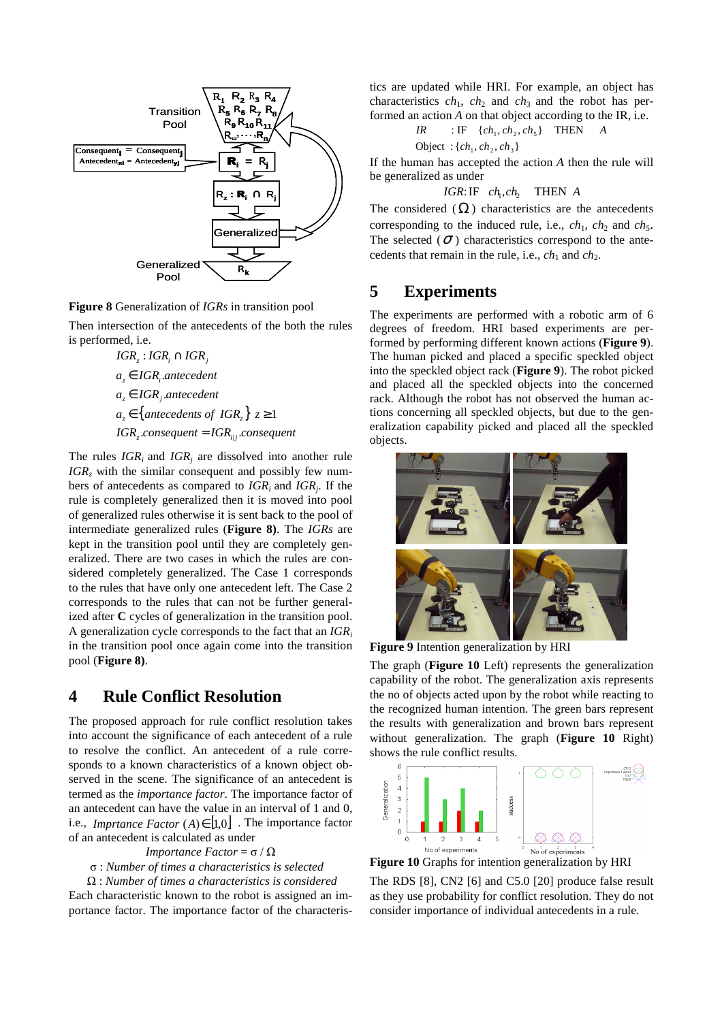

**Figure 8** Generalization of *IGRs* in transition pool

Then intersection of the antecedents of the both the rules is performed, i.e.

> $a_z \in \{$  antecedents of  $IGR_z$  $\}$   $z \ge 1$  $IGR_z$ .consequent =  $IGR_{i|j}$ .consequent *a*<sub>z</sub> ∈ IGR<sub>j</sub>.antecedent *a*<sub>z</sub> ∈ IGR<sub>i</sub>.antecedent  $IGR_z : IGR_i \cap IGR_j$

The rules  $IGR_i$  and  $IGR_j$  are dissolved into another rule *IGR<sup>z</sup>* with the similar consequent and possibly few numbers of antecedents as compared to *IGRi* and *IGR<sup>j</sup>* . If the rule is completely generalized then it is moved into pool of generalized rules otherwise it is sent back to the pool of intermediate generalized rules (**Figure 8)**. The *IGRs* are kept in the transition pool until they are completely generalized. There are two cases in which the rules are considered completely generalized. The Case 1 corresponds to the rules that have only one antecedent left. The Case 2 corresponds to the rules that can not be further generalized after **C** cycles of generalization in the transition pool. A generalization cycle corresponds to the fact that an *IGR<sup>i</sup>* in the transition pool once again come into the transition pool (**Figure 8)**.

## **4 Rule Conflict Resolution**

The proposed approach for rule conflict resolution takes into account the significance of each antecedent of a rule to resolve the conflict. An antecedent of a rule corresponds to a known characteristics of a known object observed in the scene. The significance of an antecedent is termed as the *importance factor*. The importance factor of an antecedent can have the value in an interval of 1 and 0, i.e., *Imprtance Factor*  $(A) \in [1,0]$ . The importance factor of an antecedent is calculated as under

#### *Importance Factor* =  $\sigma / \Omega$

σ : *Number of times a characteristics is selected* 

 Ω : *Number of times a characteristics is considered* Each characteristic known to the robot is assigned an importance factor. The importance factor of the characteristics are updated while HRI. For example, an object has characteristics  $ch_1$ ,  $ch_2$  and  $ch_3$  and the robot has performed an action *A* on that object according to the IR, i.e.

$$
IR \qquad : IF \quad \{ch_1, ch_2, ch_5\} \quad THEN \qquad A
$$

$$
Object : \{ch_1, ch_2, ch_3\}
$$

If the human has accepted the action *A* then the rule will be generalized as under

*IGR*:IF 
$$
ch_1, ch_2
$$
 THEN A

The considered  $(\Omega)$  characteristics are the antecedents corresponding to the induced rule, i.e.,  $ch_1$ ,  $ch_2$  and  $ch_5$ . The selected ( $\sigma$ ) characteristics correspond to the antecedents that remain in the rule, i.e.,  $ch_1$  and  $ch_2$ .

## **5 Experiments**

The experiments are performed with a robotic arm of 6 degrees of freedom. HRI based experiments are performed by performing different known actions (**Figure 9**). The human picked and placed a specific speckled object into the speckled object rack (**Figure 9**). The robot picked and placed all the speckled objects into the concerned rack. Although the robot has not observed the human actions concerning all speckled objects, but due to the generalization capability picked and placed all the speckled objects.



**Figure 9** Intention generalization by HRI

The graph (**Figure 10** Left) represents the generalization capability of the robot. The generalization axis represents the no of objects acted upon by the robot while reacting to the recognized human intention. The green bars represent the results with generalization and brown bars represent without generalization. The graph (**Figure 10** Right) shows the rule conflict results.



**Figure 10** Graphs for intention generalization by HRI

The RDS [8], CN2 [6] and C5.0 [20] produce false result as they use probability for conflict resolution. They do not consider importance of individual antecedents in a rule.